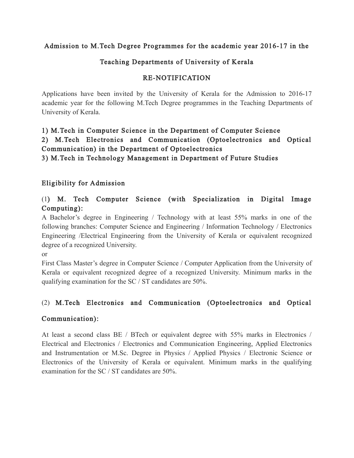### Admission to M.Tech Degree Programmes for the academic year 2016-17 in the

## Teaching Departments of University of Kerala

### RE-NOTIFICATION

Applications have been invited by the University of Kerala for the Admission to 2016-17 academic year for the following M.Tech Degree programmes in the Teaching Departments of University of Kerala.

# 1) M.Tech in Computer Science in the Department of Computer Science 2) M.Tech Electronics and Communication (Optoelectronics and Optical Communication) in the Department of Optoelectronics

3) M.Tech in Technology Management in Department of Future Studies

## Eligibility for Admission

## (1) M. Tech Computer Science (with Specialization in Digital Image Computing):

A Bachelor's degree in Engineering / Technology with at least 55% marks in one of the following branches: Computer Science and Engineering / Information Technology / Electronics Engineering /Electrical Engineering from the University of Kerala or equivalent recognized degree of a recognized University.

or

First Class Master's degree in Computer Science / Computer Application from the University of Kerala or equivalent recognized degree of a recognized University. Minimum marks in the qualifying examination for the SC / ST candidates are 50%.

## (2) M.Tech Electronics and Communication (Optoelectronics and Optical

#### Communication):

At least a second class BE / BTech or equivalent degree with 55% marks in Electronics / Electrical and Electronics / Electronics and Communication Engineering, Applied Electronics and Instrumentation or M.Sc. Degree in Physics / Applied Physics / Electronic Science or Electronics of the University of Kerala or equivalent. Minimum marks in the qualifying examination for the SC / ST candidates are 50%.